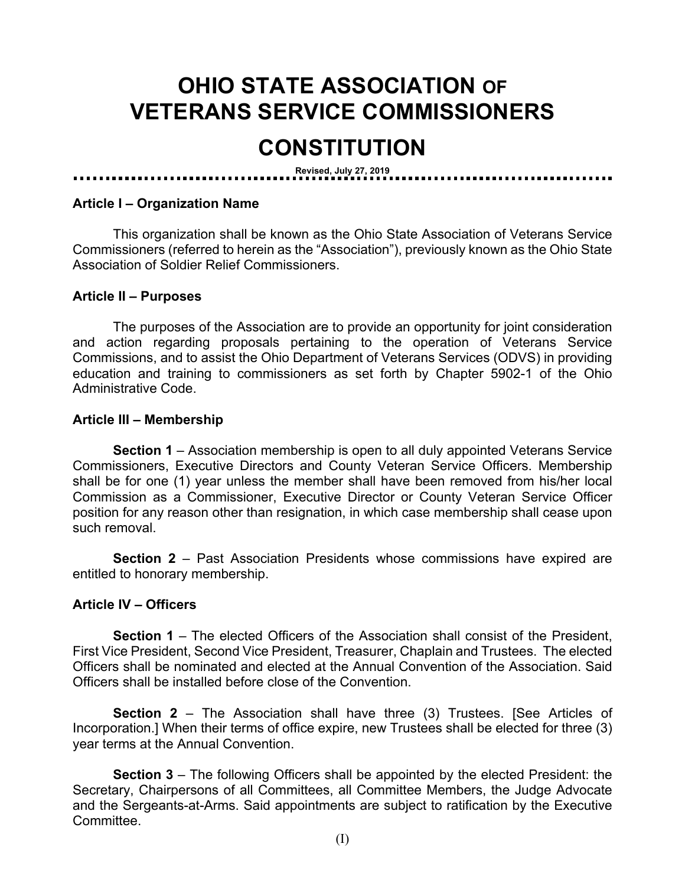# **OHIO STATE ASSOCIATION OF VETERANS SERVICE COMMISSIONERS**

# **CONSTITUTION**

**Revised, July 27, 2019**

#### **Article I – Organization Name**

This organization shall be known as the Ohio State Association of Veterans Service Commissioners (referred to herein as the "Association"), previously known as the Ohio State Association of Soldier Relief Commissioners.

#### **Article II – Purposes**

The purposes of the Association are to provide an opportunity for joint consideration and action regarding proposals pertaining to the operation of Veterans Service Commissions, and to assist the Ohio Department of Veterans Services (ODVS) in providing education and training to commissioners as set forth by Chapter 5902-1 of the Ohio Administrative Code.

#### **Article III – Membership**

**Section 1** – Association membership is open to all duly appointed Veterans Service Commissioners, Executive Directors and County Veteran Service Officers. Membership shall be for one (1) year unless the member shall have been removed from his/her local Commission as a Commissioner, Executive Director or County Veteran Service Officer position for any reason other than resignation, in which case membership shall cease upon such removal.

**Section 2** – Past Association Presidents whose commissions have expired are entitled to honorary membership.

#### **Article IV – Officers**

**Section 1** – The elected Officers of the Association shall consist of the President, First Vice President, Second Vice President, Treasurer, Chaplain and Trustees. The elected Officers shall be nominated and elected at the Annual Convention of the Association. Said Officers shall be installed before close of the Convention.

**Section 2** – The Association shall have three (3) Trustees. [See Articles of Incorporation.] When their terms of office expire, new Trustees shall be elected for three (3) year terms at the Annual Convention.

**Section 3** – The following Officers shall be appointed by the elected President: the Secretary, Chairpersons of all Committees, all Committee Members, the Judge Advocate and the Sergeants-at-Arms. Said appointments are subject to ratification by the Executive Committee.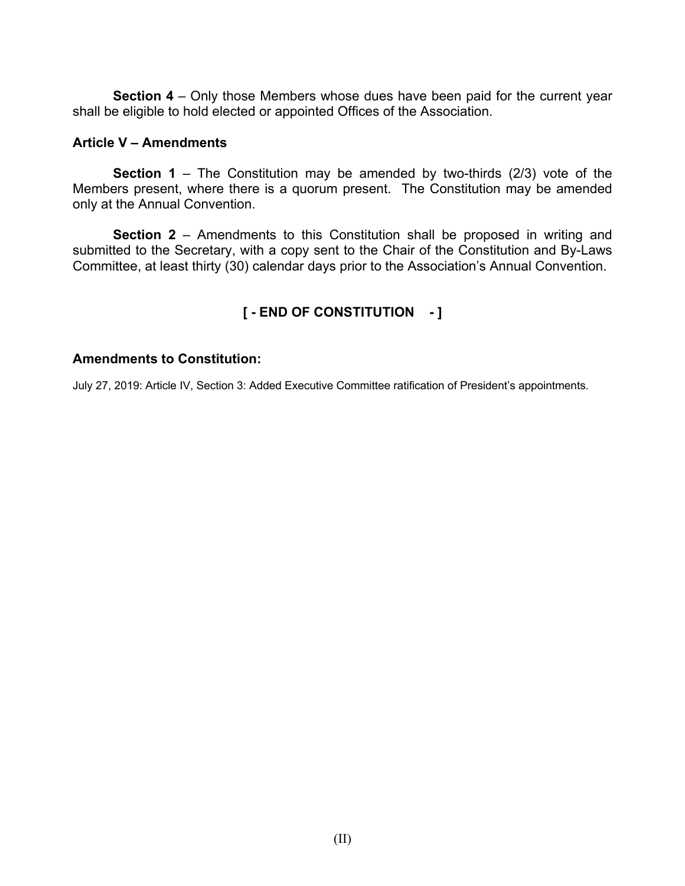**Section 4** – Only those Members whose dues have been paid for the current year shall be eligible to hold elected or appointed Offices of the Association.

#### **Article V – Amendments**

**Section 1** – The Constitution may be amended by two-thirds (2/3) vote of the Members present, where there is a quorum present. The Constitution may be amended only at the Annual Convention.

**Section 2** – Amendments to this Constitution shall be proposed in writing and submitted to the Secretary, with a copy sent to the Chair of the Constitution and By-Laws Committee, at least thirty (30) calendar days prior to the Association's Annual Convention.

### **[ - END OF CONSTITUTION - ]**

#### **Amendments to Constitution:**

July 27, 2019: Article IV, Section 3: Added Executive Committee ratification of President's appointments.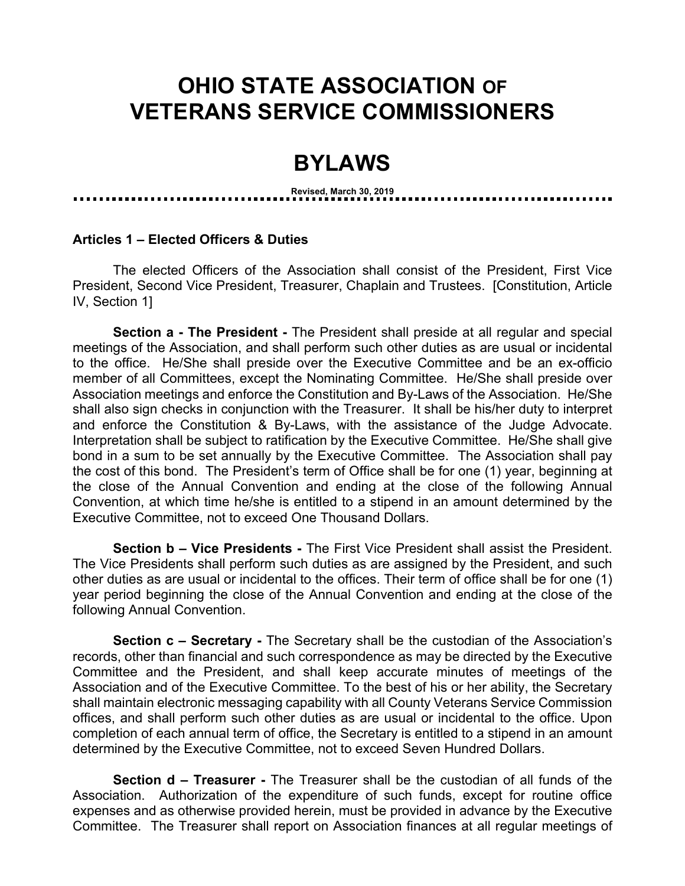## **OHIO STATE ASSOCIATION OF VETERANS SERVICE COMMISSIONERS**

### **BYLAWS**

**Revised, March 30, 2019**

#### **Articles 1 – Elected Officers & Duties**

The elected Officers of the Association shall consist of the President, First Vice President, Second Vice President, Treasurer, Chaplain and Trustees. [Constitution, Article IV, Section 1]

**Section a - The President -** The President shall preside at all regular and special meetings of the Association, and shall perform such other duties as are usual or incidental to the office. He/She shall preside over the Executive Committee and be an ex-officio member of all Committees, except the Nominating Committee. He/She shall preside over Association meetings and enforce the Constitution and By-Laws of the Association. He/She shall also sign checks in conjunction with the Treasurer. It shall be his/her duty to interpret and enforce the Constitution & By-Laws, with the assistance of the Judge Advocate. Interpretation shall be subject to ratification by the Executive Committee. He/She shall give bond in a sum to be set annually by the Executive Committee. The Association shall pay the cost of this bond. The President's term of Office shall be for one (1) year, beginning at the close of the Annual Convention and ending at the close of the following Annual Convention, at which time he/she is entitled to a stipend in an amount determined by the Executive Committee, not to exceed One Thousand Dollars.

**Section b – Vice Presidents -** The First Vice President shall assist the President. The Vice Presidents shall perform such duties as are assigned by the President, and such other duties as are usual or incidental to the offices. Their term of office shall be for one (1) year period beginning the close of the Annual Convention and ending at the close of the following Annual Convention.

**Section c – Secretary -** The Secretary shall be the custodian of the Association's records, other than financial and such correspondence as may be directed by the Executive Committee and the President, and shall keep accurate minutes of meetings of the Association and of the Executive Committee. To the best of his or her ability, the Secretary shall maintain electronic messaging capability with all County Veterans Service Commission offices, and shall perform such other duties as are usual or incidental to the office. Upon completion of each annual term of office, the Secretary is entitled to a stipend in an amount determined by the Executive Committee, not to exceed Seven Hundred Dollars.

**Section d – Treasurer -** The Treasurer shall be the custodian of all funds of the Association. Authorization of the expenditure of such funds, except for routine office expenses and as otherwise provided herein, must be provided in advance by the Executive Committee. The Treasurer shall report on Association finances at all regular meetings of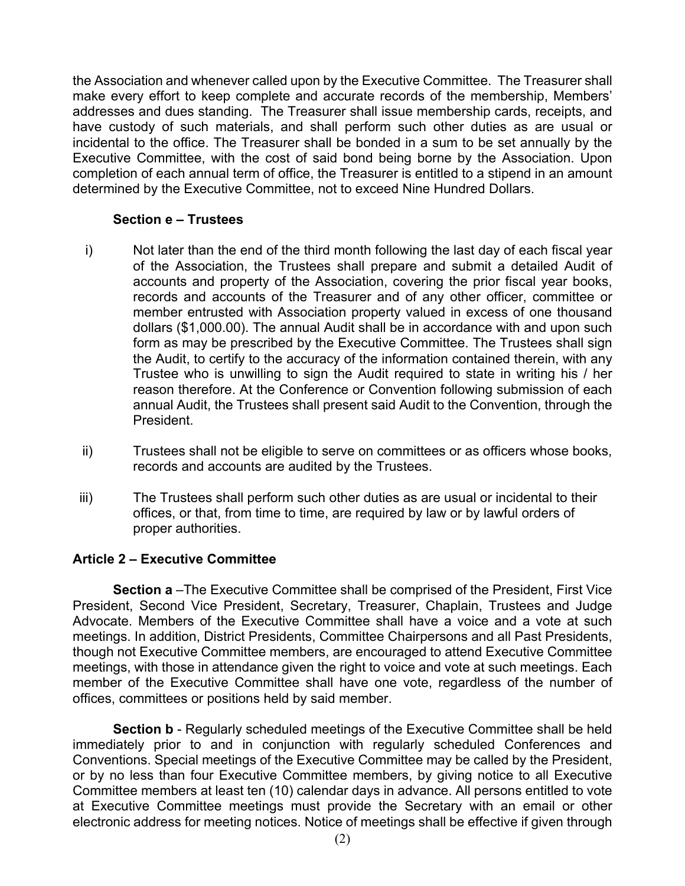the Association and whenever called upon by the Executive Committee. The Treasurer shall make every effort to keep complete and accurate records of the membership, Members' addresses and dues standing. The Treasurer shall issue membership cards, receipts, and have custody of such materials, and shall perform such other duties as are usual or incidental to the office. The Treasurer shall be bonded in a sum to be set annually by the Executive Committee, with the cost of said bond being borne by the Association. Upon completion of each annual term of office, the Treasurer is entitled to a stipend in an amount determined by the Executive Committee, not to exceed Nine Hundred Dollars.

#### **Section e – Trustees**

- i) Not later than the end of the third month following the last day of each fiscal year of the Association, the Trustees shall prepare and submit a detailed Audit of accounts and property of the Association, covering the prior fiscal year books, records and accounts of the Treasurer and of any other officer, committee or member entrusted with Association property valued in excess of one thousand dollars (\$1,000.00). The annual Audit shall be in accordance with and upon such form as may be prescribed by the Executive Committee. The Trustees shall sign the Audit, to certify to the accuracy of the information contained therein, with any Trustee who is unwilling to sign the Audit required to state in writing his / her reason therefore. At the Conference or Convention following submission of each annual Audit, the Trustees shall present said Audit to the Convention, through the President.
- ii) Trustees shall not be eligible to serve on committees or as officers whose books, records and accounts are audited by the Trustees.
- iii) The Trustees shall perform such other duties as are usual or incidental to their offices, or that, from time to time, are required by law or by lawful orders of proper authorities.

#### **Article 2 – Executive Committee**

**Section a** –The Executive Committee shall be comprised of the President, First Vice President, Second Vice President, Secretary, Treasurer, Chaplain, Trustees and Judge Advocate. Members of the Executive Committee shall have a voice and a vote at such meetings. In addition, District Presidents, Committee Chairpersons and all Past Presidents, though not Executive Committee members, are encouraged to attend Executive Committee meetings, with those in attendance given the right to voice and vote at such meetings. Each member of the Executive Committee shall have one vote, regardless of the number of offices, committees or positions held by said member.

**Section b** - Regularly scheduled meetings of the Executive Committee shall be held immediately prior to and in conjunction with regularly scheduled Conferences and Conventions. Special meetings of the Executive Committee may be called by the President, or by no less than four Executive Committee members, by giving notice to all Executive Committee members at least ten (10) calendar days in advance. All persons entitled to vote at Executive Committee meetings must provide the Secretary with an email or other electronic address for meeting notices. Notice of meetings shall be effective if given through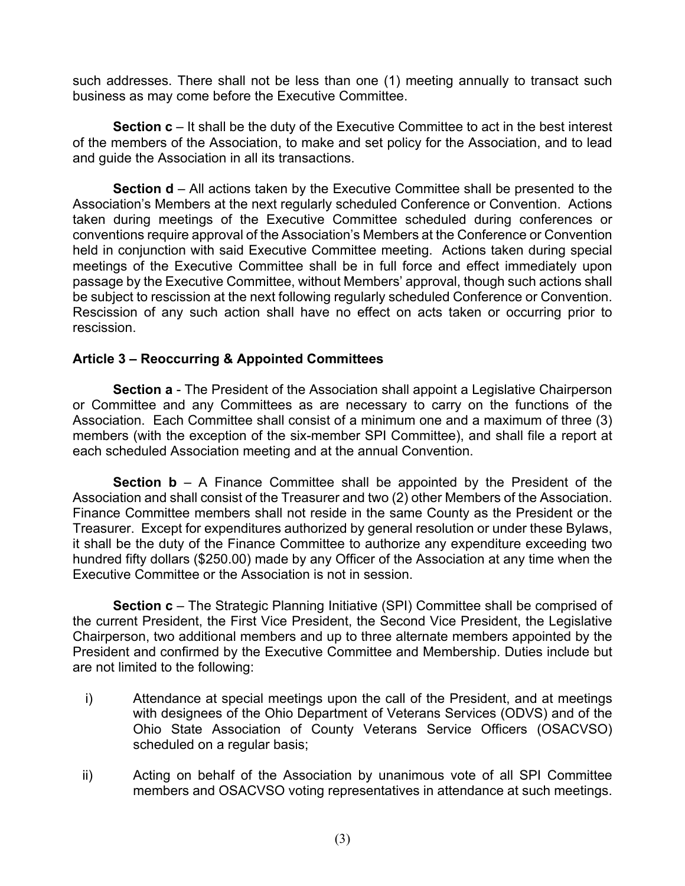such addresses. There shall not be less than one (1) meeting annually to transact such business as may come before the Executive Committee.

**Section c** – It shall be the duty of the Executive Committee to act in the best interest of the members of the Association, to make and set policy for the Association, and to lead and guide the Association in all its transactions.

**Section d** – All actions taken by the Executive Committee shall be presented to the Association's Members at the next regularly scheduled Conference or Convention. Actions taken during meetings of the Executive Committee scheduled during conferences or conventions require approval of the Association's Members at the Conference or Convention held in conjunction with said Executive Committee meeting. Actions taken during special meetings of the Executive Committee shall be in full force and effect immediately upon passage by the Executive Committee, without Members' approval, though such actions shall be subject to rescission at the next following regularly scheduled Conference or Convention. Rescission of any such action shall have no effect on acts taken or occurring prior to rescission.

#### **Article 3 – Reoccurring & Appointed Committees**

**Section a** - The President of the Association shall appoint a Legislative Chairperson or Committee and any Committees as are necessary to carry on the functions of the Association. Each Committee shall consist of a minimum one and a maximum of three (3) members (with the exception of the six-member SPI Committee), and shall file a report at each scheduled Association meeting and at the annual Convention.

**Section b** – A Finance Committee shall be appointed by the President of the Association and shall consist of the Treasurer and two (2) other Members of the Association. Finance Committee members shall not reside in the same County as the President or the Treasurer. Except for expenditures authorized by general resolution or under these Bylaws, it shall be the duty of the Finance Committee to authorize any expenditure exceeding two hundred fifty dollars (\$250.00) made by any Officer of the Association at any time when the Executive Committee or the Association is not in session.

**Section c** – The Strategic Planning Initiative (SPI) Committee shall be comprised of the current President, the First Vice President, the Second Vice President, the Legislative Chairperson, two additional members and up to three alternate members appointed by the President and confirmed by the Executive Committee and Membership. Duties include but are not limited to the following:

- i) Attendance at special meetings upon the call of the President, and at meetings with designees of the Ohio Department of Veterans Services (ODVS) and of the Ohio State Association of County Veterans Service Officers (OSACVSO) scheduled on a regular basis;
- ii) Acting on behalf of the Association by unanimous vote of all SPI Committee members and OSACVSO voting representatives in attendance at such meetings.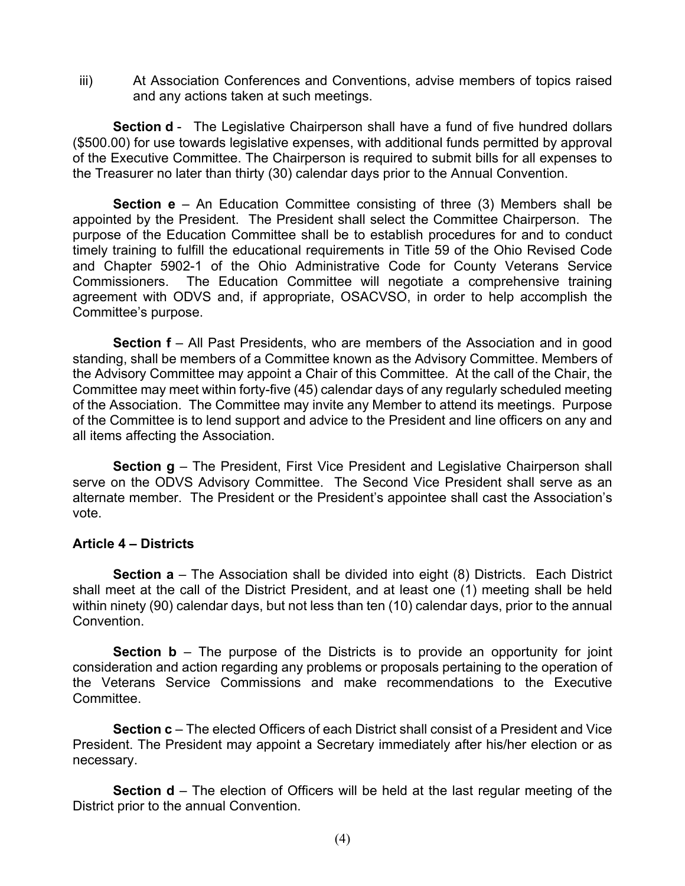iii) At Association Conferences and Conventions, advise members of topics raised and any actions taken at such meetings.

**Section d** - The Legislative Chairperson shall have a fund of five hundred dollars (\$500.00) for use towards legislative expenses, with additional funds permitted by approval of the Executive Committee. The Chairperson is required to submit bills for all expenses to the Treasurer no later than thirty (30) calendar days prior to the Annual Convention.

**Section e** – An Education Committee consisting of three (3) Members shall be appointed by the President. The President shall select the Committee Chairperson. The purpose of the Education Committee shall be to establish procedures for and to conduct timely training to fulfill the educational requirements in Title 59 of the Ohio Revised Code and Chapter 5902-1 of the Ohio Administrative Code for County Veterans Service Commissioners. The Education Committee will negotiate a comprehensive training agreement with ODVS and, if appropriate, OSACVSO, in order to help accomplish the Committee's purpose.

**Section f** – All Past Presidents, who are members of the Association and in good standing, shall be members of a Committee known as the Advisory Committee. Members of the Advisory Committee may appoint a Chair of this Committee. At the call of the Chair, the Committee may meet within forty-five (45) calendar days of any regularly scheduled meeting of the Association. The Committee may invite any Member to attend its meetings. Purpose of the Committee is to lend support and advice to the President and line officers on any and all items affecting the Association.

**Section g** – The President, First Vice President and Legislative Chairperson shall serve on the ODVS Advisory Committee. The Second Vice President shall serve as an alternate member. The President or the President's appointee shall cast the Association's vote.

#### **Article 4 – Districts**

**Section a** – The Association shall be divided into eight (8) Districts. Each District shall meet at the call of the District President, and at least one (1) meeting shall be held within ninety (90) calendar days, but not less than ten (10) calendar days, prior to the annual Convention.

**Section b** – The purpose of the Districts is to provide an opportunity for joint consideration and action regarding any problems or proposals pertaining to the operation of the Veterans Service Commissions and make recommendations to the Executive Committee.

**Section c** – The elected Officers of each District shall consist of a President and Vice President. The President may appoint a Secretary immediately after his/her election or as necessary.

**Section d** – The election of Officers will be held at the last regular meeting of the District prior to the annual Convention.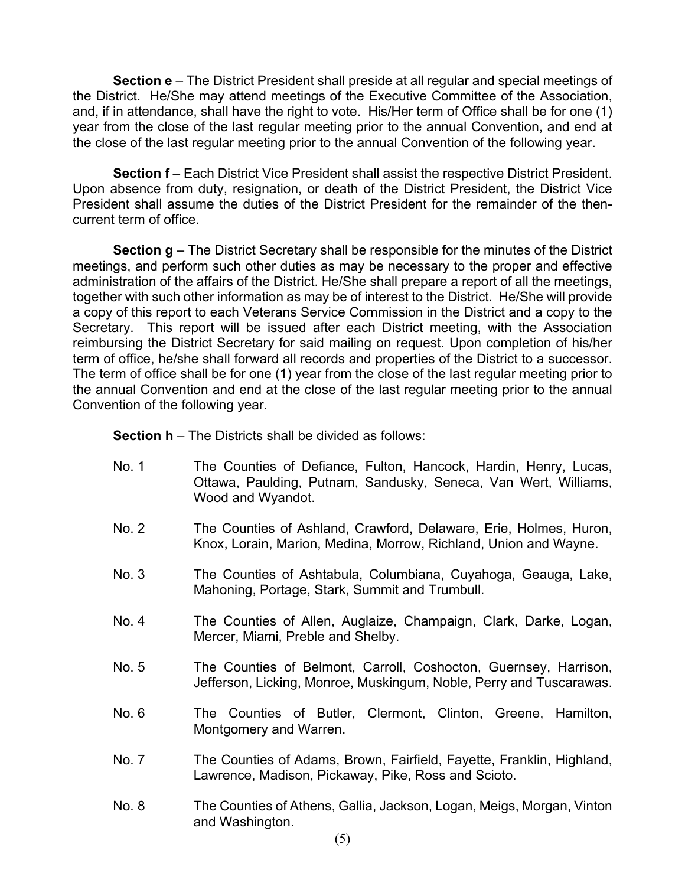**Section e** – The District President shall preside at all regular and special meetings of the District. He/She may attend meetings of the Executive Committee of the Association, and, if in attendance, shall have the right to vote. His/Her term of Office shall be for one (1) year from the close of the last regular meeting prior to the annual Convention, and end at the close of the last regular meeting prior to the annual Convention of the following year.

**Section f** – Each District Vice President shall assist the respective District President. Upon absence from duty, resignation, or death of the District President, the District Vice President shall assume the duties of the District President for the remainder of the thencurrent term of office.

**Section g** – The District Secretary shall be responsible for the minutes of the District meetings, and perform such other duties as may be necessary to the proper and effective administration of the affairs of the District. He/She shall prepare a report of all the meetings, together with such other information as may be of interest to the District. He/She will provide a copy of this report to each Veterans Service Commission in the District and a copy to the Secretary. This report will be issued after each District meeting, with the Association reimbursing the District Secretary for said mailing on request. Upon completion of his/her term of office, he/she shall forward all records and properties of the District to a successor. The term of office shall be for one (1) year from the close of the last regular meeting prior to the annual Convention and end at the close of the last regular meeting prior to the annual Convention of the following year.

**Section h** – The Districts shall be divided as follows:

- No. 1 The Counties of Defiance, Fulton, Hancock, Hardin, Henry, Lucas, Ottawa, Paulding, Putnam, Sandusky, Seneca, Van Wert, Williams, Wood and Wyandot.
- No. 2 The Counties of Ashland, Crawford, Delaware, Erie, Holmes, Huron, Knox, Lorain, Marion, Medina, Morrow, Richland, Union and Wayne.
- No. 3 The Counties of Ashtabula, Columbiana, Cuyahoga, Geauga, Lake, Mahoning, Portage, Stark, Summit and Trumbull.
- No. 4 The Counties of Allen, Auglaize, Champaign, Clark, Darke, Logan, Mercer, Miami, Preble and Shelby.
- No. 5 The Counties of Belmont, Carroll, Coshocton, Guernsey, Harrison, Jefferson, Licking, Monroe, Muskingum, Noble, Perry and Tuscarawas.
- No. 6 The Counties of Butler, Clermont, Clinton, Greene, Hamilton, Montgomery and Warren.
- No. 7 The Counties of Adams, Brown, Fairfield, Fayette, Franklin, Highland, Lawrence, Madison, Pickaway, Pike, Ross and Scioto.
- No. 8 The Counties of Athens, Gallia, Jackson, Logan, Meigs, Morgan, Vinton and Washington.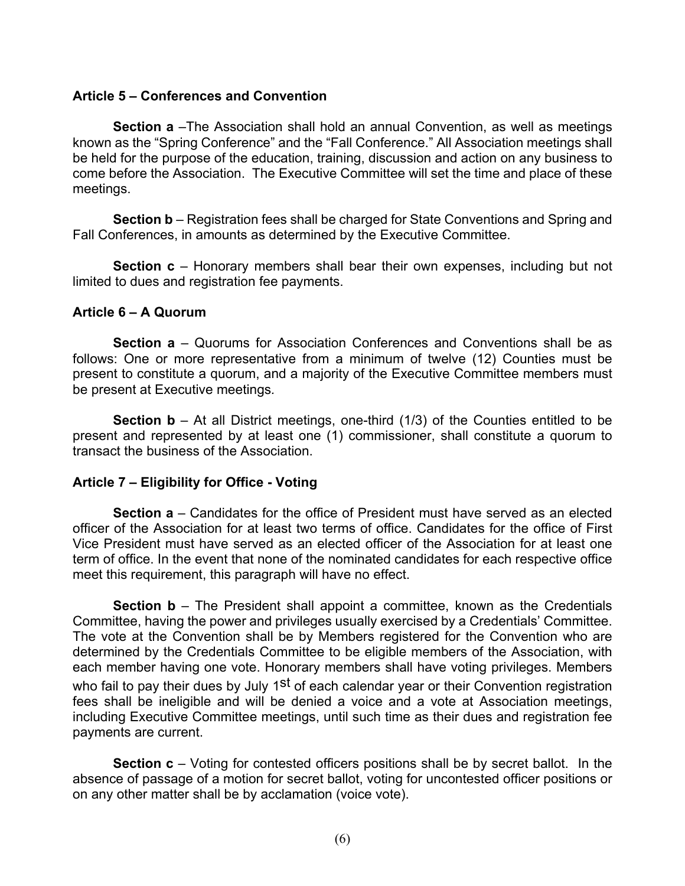#### **Article 5 – Conferences and Convention**

**Section a** –The Association shall hold an annual Convention, as well as meetings known as the "Spring Conference" and the "Fall Conference." All Association meetings shall be held for the purpose of the education, training, discussion and action on any business to come before the Association. The Executive Committee will set the time and place of these meetings.

**Section b** – Registration fees shall be charged for State Conventions and Spring and Fall Conferences, in amounts as determined by the Executive Committee.

**Section c** – Honorary members shall bear their own expenses, including but not limited to dues and registration fee payments.

#### **Article 6 – A Quorum**

**Section a** – Quorums for Association Conferences and Conventions shall be as follows: One or more representative from a minimum of twelve (12) Counties must be present to constitute a quorum, and a majority of the Executive Committee members must be present at Executive meetings*.*

**Section b** – At all District meetings, one-third (1/3) of the Counties entitled to be present and represented by at least one (1) commissioner, shall constitute a quorum to transact the business of the Association.

#### **Article 7 – Eligibility for Office - Voting**

**Section a** – Candidates for the office of President must have served as an elected officer of the Association for at least two terms of office. Candidates for the office of First Vice President must have served as an elected officer of the Association for at least one term of office. In the event that none of the nominated candidates for each respective office meet this requirement, this paragraph will have no effect.

**Section b** – The President shall appoint a committee, known as the Credentials Committee, having the power and privileges usually exercised by a Credentials' Committee. The vote at the Convention shall be by Members registered for the Convention who are determined by the Credentials Committee to be eligible members of the Association, with each member having one vote. Honorary members shall have voting privileges. Members who fail to pay their dues by July 1<sup>st</sup> of each calendar year or their Convention registration fees shall be ineligible and will be denied a voice and a vote at Association meetings, including Executive Committee meetings, until such time as their dues and registration fee payments are current.

**Section c** – Voting for contested officers positions shall be by secret ballot. In the absence of passage of a motion for secret ballot, voting for uncontested officer positions or on any other matter shall be by acclamation (voice vote).